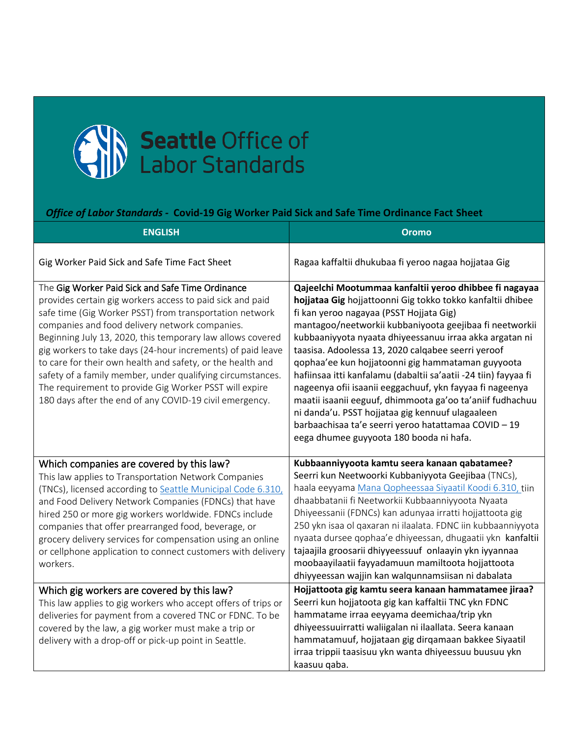

## *Office of Labor Standards -* **Covid-19 Gig Worker Paid Sick and Safe Time Ordinance Fact Sheet**

| <b>ENGLISH</b>                                                                                                                                                                                                                                                                                                                                                                                                                                                                                                                                                                                           | <b>Oromo</b>                                                                                                                                                                                                                                                                                                                                                                                                                                                                                                                                                                                                                                                                                                                                        |
|----------------------------------------------------------------------------------------------------------------------------------------------------------------------------------------------------------------------------------------------------------------------------------------------------------------------------------------------------------------------------------------------------------------------------------------------------------------------------------------------------------------------------------------------------------------------------------------------------------|-----------------------------------------------------------------------------------------------------------------------------------------------------------------------------------------------------------------------------------------------------------------------------------------------------------------------------------------------------------------------------------------------------------------------------------------------------------------------------------------------------------------------------------------------------------------------------------------------------------------------------------------------------------------------------------------------------------------------------------------------------|
| Gig Worker Paid Sick and Safe Time Fact Sheet                                                                                                                                                                                                                                                                                                                                                                                                                                                                                                                                                            | Ragaa kaffaltii dhukubaa fi yeroo nagaa hojjataa Gig                                                                                                                                                                                                                                                                                                                                                                                                                                                                                                                                                                                                                                                                                                |
| The Gig Worker Paid Sick and Safe Time Ordinance<br>provides certain gig workers access to paid sick and paid<br>safe time (Gig Worker PSST) from transportation network<br>companies and food delivery network companies.<br>Beginning July 13, 2020, this temporary law allows covered<br>gig workers to take days (24-hour increments) of paid leave<br>to care for their own health and safety, or the health and<br>safety of a family member, under qualifying circumstances.<br>The requirement to provide Gig Worker PSST will expire<br>180 days after the end of any COVID-19 civil emergency. | Qajeelchi Mootummaa kanfaltii yeroo dhibbee fi nagayaa<br>hojjataa Gig hojjattoonni Gig tokko tokko kanfaltii dhibee<br>fi kan yeroo nagayaa (PSST Hojjata Gig)<br>mantagoo/neetworkii kubbaniyoota geejibaa fi neetworkii<br>kubbaaniyyota nyaata dhiyeessanuu irraa akka argatan ni<br>taasisa. Adoolessa 13, 2020 calqabee seerri yeroof<br>qophaa'ee kun hojjatoonni gig hammataman guyyoota<br>hafiinsaa itti kanfalamu (dabaltii sa'aatii -24 tiin) fayyaa fi<br>nageenya ofii isaanii eeggachuuf, ykn fayyaa fi nageenya<br>maatii isaanii eeguuf, dhimmoota ga'oo ta'aniif fudhachuu<br>ni danda'u. PSST hojjataa gig kennuuf ulagaaleen<br>barbaachisaa ta'e seerri yeroo hatattamaa COVID - 19<br>eega dhumee guyyoota 180 booda ni hafa. |
| Which companies are covered by this law?<br>This law applies to Transportation Network Companies<br>(TNCs), licensed according to Seattle Municipal Code 6.310,<br>and Food Delivery Network Companies (FDNCs) that have<br>hired 250 or more gig workers worldwide. FDNCs include<br>companies that offer prearranged food, beverage, or<br>grocery delivery services for compensation using an online<br>or cellphone application to connect customers with delivery<br>workers.                                                                                                                       | Kubbaanniyyoota kamtu seera kanaan qabatamee?<br>Seerri kun Neetwoorki Kubbaniyyota Geejibaa (TNCs),<br>haala eeyyama Mana Qopheessaa Siyaatil Koodi 6.310, tiin<br>dhaabbatanii fi Neetworkii Kubbaanniyyoota Nyaata<br>Dhiyeessanii (FDNCs) kan adunyaa irratti hojjattoota gig<br>250 ykn isaa ol qaxaran ni ilaalata. FDNC iin kubbaanniyyota<br>nyaata dursee qophaa'e dhiyeessan, dhugaatii ykn kanfaltii<br>tajaajila groosarii dhiyyeessuuf onlaayin ykn iyyannaa<br>moobaayilaatii fayyadamuun mamiltoota hojjattoota<br>dhiyyeessan wajjin kan walqunnamsiisan ni dabalata                                                                                                                                                                |
| Which gig workers are covered by this law?<br>This law applies to gig workers who accept offers of trips or<br>deliveries for payment from a covered TNC or FDNC. To be<br>covered by the law, a gig worker must make a trip or<br>delivery with a drop-off or pick-up point in Seattle.                                                                                                                                                                                                                                                                                                                 | Hojjattoota gig kamtu seera kanaan hammatamee jiraa?<br>Seerri kun hojjatoota gig kan kaffaltii TNC ykn FDNC<br>hammatame irraa eeyyama deemichaa/trip ykn<br>dhiyeessuuirratti waliigalan ni ilaallata. Seera kanaan<br>hammatamuuf, hojjataan gig dirqamaan bakkee Siyaatil<br>irraa trippii taasisuu ykn wanta dhiyeessuu buusuu ykn<br>kaasuu qaba.                                                                                                                                                                                                                                                                                                                                                                                             |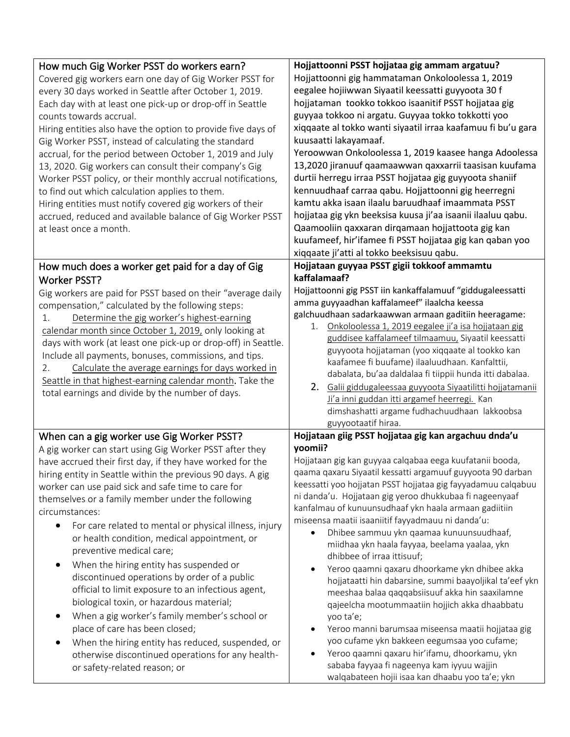| How much Gig Worker PSST do workers earn?<br>Covered gig workers earn one day of Gig Worker PSST for<br>every 30 days worked in Seattle after October 1, 2019.<br>Each day with at least one pick-up or drop-off in Seattle<br>counts towards accrual.<br>Hiring entities also have the option to provide five days of<br>Gig Worker PSST, instead of calculating the standard<br>accrual, for the period between October 1, 2019 and July<br>13, 2020. Gig workers can consult their company's Gig<br>Worker PSST policy, or their monthly accrual notifications,<br>to find out which calculation applies to them.<br>Hiring entities must notify covered gig workers of their<br>accrued, reduced and available balance of Gig Worker PSST<br>at least once a month.                                                                                                                                                                     | Hojjattoonni PSST hojjataa gig ammam argatuu?<br>Hojjattoonni gig hammataman Onkoloolessa 1, 2019<br>eegalee hojiiwwan Siyaatil keessatti guyyoota 30 f<br>hojjataman tookko tokkoo isaanitif PSST hojjataa gig<br>guyyaa tokkoo ni argatu. Guyyaa tokko tokkotti yoo<br>xiqqaate al tokko wanti siyaatil irraa kaafamuu fi bu'u gara<br>kuusaatti lakayamaaf.<br>Yeroowwan Onkoloolessa 1, 2019 kaasee hanga Adoolessa<br>13,2020 jiranuuf qaamaawwan qaxxarrii taasisan kuufama<br>durtii herregu irraa PSST hojjataa gig guyyoota shaniif<br>kennuudhaaf carraa qabu. Hojjattoonni gig heerregni<br>kamtu akka isaan ilaalu baruudhaaf imaammata PSST<br>hojjataa gig ykn beeksisa kuusa ji'aa isaanii ilaaluu qabu.<br>Qaamooliin qaxxaran dirqamaan hojjattoota gig kan<br>kuufameef, hir'ifamee fi PSST hojjataa gig kan qaban yoo<br>xiqqaate ji'atti al tokko beeksisuu qabu.                                                                                                                                                                          |
|---------------------------------------------------------------------------------------------------------------------------------------------------------------------------------------------------------------------------------------------------------------------------------------------------------------------------------------------------------------------------------------------------------------------------------------------------------------------------------------------------------------------------------------------------------------------------------------------------------------------------------------------------------------------------------------------------------------------------------------------------------------------------------------------------------------------------------------------------------------------------------------------------------------------------------------------|----------------------------------------------------------------------------------------------------------------------------------------------------------------------------------------------------------------------------------------------------------------------------------------------------------------------------------------------------------------------------------------------------------------------------------------------------------------------------------------------------------------------------------------------------------------------------------------------------------------------------------------------------------------------------------------------------------------------------------------------------------------------------------------------------------------------------------------------------------------------------------------------------------------------------------------------------------------------------------------------------------------------------------------------------------------|
| How much does a worker get paid for a day of Gig<br><b>Worker PSST?</b><br>Gig workers are paid for PSST based on their "average daily<br>compensation," calculated by the following steps:<br>Determine the gig worker's highest-earning<br>1.<br>calendar month since October 1, 2019, only looking at<br>days with work (at least one pick-up or drop-off) in Seattle.<br>Include all payments, bonuses, commissions, and tips.<br>Calculate the average earnings for days worked in<br>2.<br>Seattle in that highest-earning calendar month. Take the<br>total earnings and divide by the number of days.                                                                                                                                                                                                                                                                                                                               | Hojjataan guyyaa PSST gigii tokkoof ammamtu<br>kaffalamaaf?<br>Hojjattoonni gig PSST iin kankaffalamuuf "giddugaleessatti<br>amma guyyaadhan kaffalameef" ilaalcha keessa<br>galchuudhaan sadarkaawwan armaan gaditiin heeragame:<br>1. Onkoloolessa 1, 2019 eegalee ji'a isa hojjataan gig<br>guddisee kaffalameef tilmaamuu, Siyaatil keessatti<br>guyyoota hojjataman (yoo xiqqaate al tookko kan<br>kaafamee fi buufame) ilaaluudhaan. Kanfalttii,<br>dabalata, bu'aa daldalaa fi tiippii hunda itti dabalaa.<br>2. Galii giddugaleessaa guyyoota Siyaatilitti hojjatamanii<br>Ji'a inni guddan itti argamef heerregi. Kan<br>dimshashatti argame fudhachuudhaan lakkoobsa<br>guyyootaatif hiraa.                                                                                                                                                                                                                                                                                                                                                          |
| When can a gig worker use Gig Worker PSST?<br>A gig worker can start using Gig Worker PSST after they<br>have accrued their first day, if they have worked for the<br>hiring entity in Seattle within the previous 90 days. A gig<br>worker can use paid sick and safe time to care for<br>themselves or a family member under the following<br>circumstances:<br>For care related to mental or physical illness, injury<br>or health condition, medical appointment, or<br>preventive medical care;<br>When the hiring entity has suspended or<br>discontinued operations by order of a public<br>official to limit exposure to an infectious agent,<br>biological toxin, or hazardous material;<br>When a gig worker's family member's school or<br>$\bullet$<br>place of care has been closed;<br>When the hiring entity has reduced, suspended, or<br>otherwise discontinued operations for any health-<br>or safety-related reason; or | Hojjataan giig PSST hojjataa gig kan argachuu dnda'u<br>yoomii?<br>Hojjataan gig kan guyyaa calqabaa eega kuufatanii booda,<br>qaama qaxaru Siyaatil kessatti argamuuf guyyoota 90 darban<br>keessatti yoo hojjatan PSST hojjataa gig fayyadamuu calqabuu<br>ni danda'u. Hojjataan gig yeroo dhukkubaa fi nageenyaaf<br>kanfalmau of kunuunsudhaaf ykn haala armaan gadiitiin<br>miseensa maatii isaaniitif fayyadmauu ni danda'u:<br>Dhibee sammuu ykn qaamaa kunuunsuudhaaf,<br>$\bullet$<br>miidhaa ykn haala fayyaa, beelama yaalaa, ykn<br>dhibbee of irraa ittisuuf;<br>Yeroo qaamni qaxaru dhoorkame ykn dhibee akka<br>hojjataatti hin dabarsine, summi baayoljikal ta'eef ykn<br>meeshaa balaa qaqqabsiisuuf akka hin saaxilamne<br>qajeelcha mootummaatiin hojjich akka dhaabbatu<br>yoo ta'e;<br>Yeroo manni barumsaa miseensa maatii hojjataa gig<br>yoo cufame ykn bakkeen eegumsaa yoo cufame;<br>Yeroo qaamni qaxaru hir'ifamu, dhoorkamu, ykn<br>sababa fayyaa fi nageenya kam iyyuu wajjin<br>walqabateen hojii isaa kan dhaabu yoo ta'e; ykn |